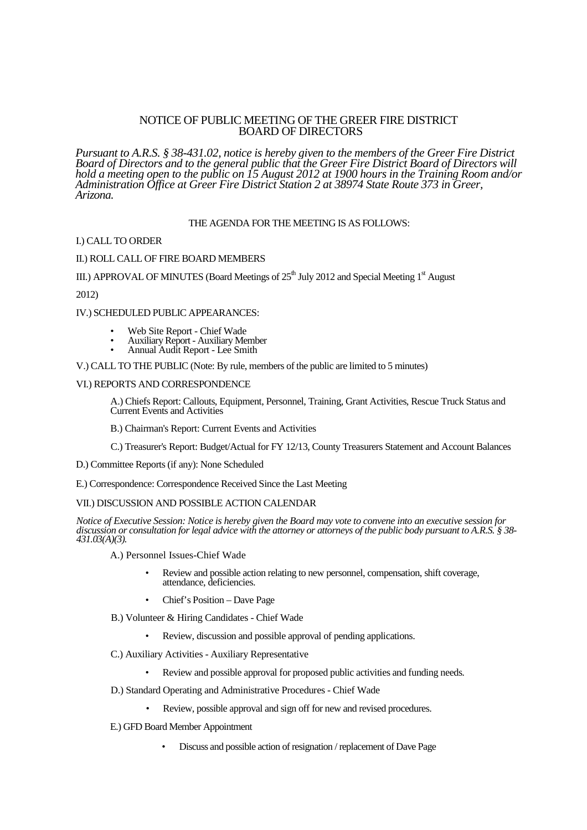# NOTICE OF PUBLIC MEETING OF THE GREER FIRE DISTRICT BOARD OF DIRECTORS

*Pursuant to A.R.S. § 38-431.02, notice is hereby given to the members of the Greer Fire District Board of Directors and to the general public that the Greer Fire District Board of Directors will hold a meeting open to the public on 15 August 2012 at 1900 hours in the Training Room and/or Administration Office at Greer Fire District Station 2 at 38974 State Route 373 in Greer, Arizona.*

## THE AGENDA FOR THE MEETING IS AS FOLLOWS:

#### I.) CALL TO ORDER

### II.) ROLL CALL OF FIRE BOARD MEMBERS

III.) APPROVAL OF MINUTES (Board Meetings of  $25<sup>th</sup>$  July 2012 and Special Meeting  $1<sup>st</sup>$  August

2012)

### IV.) SCHEDULED PUBLIC APPEARANCES:

- Web Site Report Chief Wade
- Auxiliary Report Auxiliary Member
- Annual Audit Report Lee Smith

V.) CALL TO THE PUBLIC (Note: By rule, members of the public are limited to 5 minutes)

#### VI.) REPORTS AND CORRESPONDENCE

A.) Chiefs Report: Callouts, Equipment, Personnel, Training, Grant Activities, Rescue Truck Status and Current Events and Activities

B.) Chairman's Report: Current Events and Activities

- C.) Treasurer's Report: Budget/Actual for FY 12/13, County Treasurers Statement and Account Balances
- D.) Committee Reports (if any): None Scheduled
- E.) Correspondence: Correspondence Received Since the Last Meeting

#### VII.) DISCUSSION AND POSSIBLE ACTION CALENDAR

*Notice of Executive Session: Notice is hereby given the Board may vote to convene into an executive session for discussion or consultation for legal advice with the attorney or attorneys of the public body pursuant to A.R.S. § 38- 431.03(A)(3).*

A.) Personnel Issues-Chief Wade

- Review and possible action relating to new personnel, compensation, shift coverage, attendance, deficiencies.
- Chief's Position Dave Page
- B.) Volunteer & Hiring Candidates Chief Wade
	- Review, discussion and possible approval of pending applications.
- C.) Auxiliary Activities Auxiliary Representative
	- Review and possible approval for proposed public activities and funding needs.
- D.) Standard Operating and Administrative Procedures Chief Wade
	- Review, possible approval and sign off for new and revised procedures.
- E.) GFD Board Member Appointment
	- Discuss and possible action of resignation / replacement of Dave Page